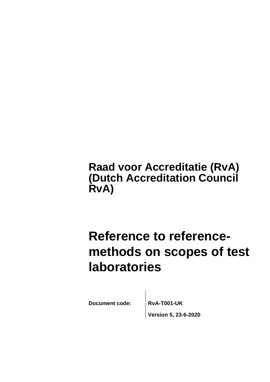**Raad voor Accreditatie (RvA) (Dutch Accreditation Council RvA)**

# **Reference to referencemethods on scopes of test laboratories**

Document code: **RvA-T001-UK** 

**Version 5, 23-6-2020**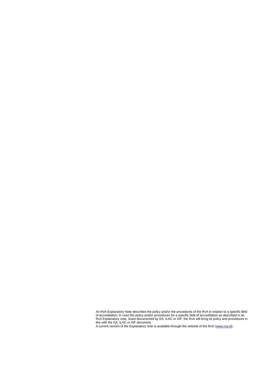An RvA-Explanatory Note describes the policy and/or the procedures of the RvA in relation to a specific field of accreditation. In case the policy and/or procedures for a specific field of accreditation as described in an RvA Explanatory note, is/are documented by EA, ILAC or IAF, the RvA will bring its policy and procedures in line with the EA, ILAC or IAF document.

A current version of the Explanatory note is available through the website of the RvA [\(www.rva.nl\).](http://www.rva.nl)./)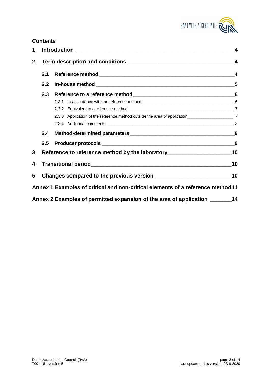

# **Contents**

| 1            |         |                                                                                    | 4                       |
|--------------|---------|------------------------------------------------------------------------------------|-------------------------|
| $\mathbf{2}$ |         |                                                                                    | $\overline{\mathbf{4}}$ |
|              | 2.1     |                                                                                    | $\overline{\mathbf{4}}$ |
|              | 2.2     |                                                                                    |                         |
|              | 2.3     |                                                                                    |                         |
|              |         |                                                                                    |                         |
|              |         |                                                                                    |                         |
|              |         |                                                                                    |                         |
|              |         |                                                                                    |                         |
|              | 2.4     |                                                                                    |                         |
|              | $2.5\,$ |                                                                                    |                         |
| 3            |         | Reference to reference method by the laboratory_________________________________10 |                         |
| 4            |         |                                                                                    |                         |
| 5            |         |                                                                                    |                         |
|              |         | Annex 1 Examples of critical and non-critical elements of a reference method 11    |                         |
|              |         | Annex 2 Examples of permitted expansion of the area of application ________ 14     |                         |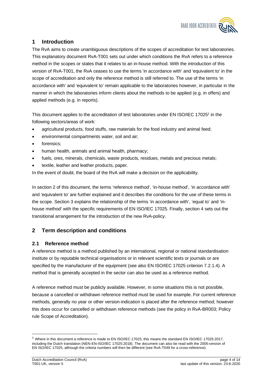

# **1 Introduction**

The RvA aims to create unambiguous descriptions of the scopes of accreditation for test laboratories. This explanatory document RvA-T001 sets out under which conditions the RvA refers to a reference method in the scopes or states that it relates to an in-house method. With the introduction of this version of RvA-T001, the RvA ceases to use the terms 'in accordance with' and 'equivalent to' in the scope of accreditation and only the reference method is still referred to. The use of the terms 'in accordance with' and 'equivalent to' remain applicable to the laboratories however, in particular in the manner in which the laboratories inform clients about the methods to be applied (e.g. in offers) and applied methods (e.g. in reports).

This document applies to the accreditation of test laboratories under EN ISO/IEC 17025<sup>1</sup> in the following sectors/areas of work:

- agricultural products, food stuffs, raw materials for the food industry and animal feed;
- environmental compartments water, soil and air;
- forensics:
- human health, animals and animal health, pharmacy;
- fuels, ores, minerals, chemicals, waste products, residues, metals and precious metals;
- textile, leather and leather products, paper.

In the event of doubt, the board of the RvA will make a decision on the applicability.

In section 2 of this document, the terms 'reference method', 'in-house method', 'in accordance with' and 'equivalent to' are further explained and it describes the conditions for the use of these terms in the scope. Section 3 explains the relationship of the terms 'in accordance with', 'equal to' and 'inhouse method' with the specific requirements of EN ISO/IEC 17025. Finally, section 4 sets out the transitional arrangement for the introduction of the new RvA-policy.

# **2 Term description and conditions**

## **2.1 Reference method**

A reference method is a method published by an international, regional or national standardisation institute or by reputable technical organisations or in relevant scientific texts or journals or are specified by the manufacturer of the equipment (see also EN ISO/IEC 17025 criterion 7.2.1.4). A method that is generally accepted in the sector can also be used as a reference method.

A reference method must be publicly available. However, in some situations this is not possible, because a cancelled or withdrawn reference method must be used for example. For current reference methods, generally no year or other version-indication is placed after the reference method; however this does occur for cancelled or withdrawn reference methods (see the policy in RvA-BR003; Policy rule Scope of Accreditation).

<sup>&</sup>lt;sup>1</sup> Where in this document a reference is made to EN ISO/IEC 17025, this means the standard EN ISO/IEC 17025:2017, including the Dutch translation (NEN-EN-ISO/IEC 17025:2018). The document can also be read with the 2005-version of EN ISO/IEC 17025, although the criteria numbers will then be different (see RvA-T049 for a cross-reference).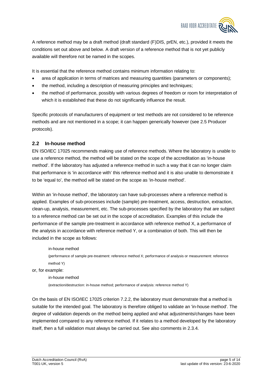

A reference method may be a draft method (draft standard (F)DIS, prEN, etc.), provided it meets the conditions set out above and below. A draft version of a reference method that is not yet publicly available will therefore not be named in the scopes.

It is essential that the reference method contains minimum information relating to:

- area of application in terms of matrices and measuring quantities (parameters or components);
- the method, including a description of measuring principles and techniques;
- the method of performance, possibly with various degrees of freedom or room for interpretation of which it is established that these do not significantly influence the result.

Specific protocols of manufacturers of equipment or test methods are not considered to be reference methods and are not mentioned in a scope; it can happen generically however (see 2.5 Producer protocols).

#### **2.2 In-house method**

EN ISO/IEC 17025 recommends making use of reference methods. Where the laboratory is unable to use a reference method, the method will be stated on the scope of the accreditation as 'in-house method'. If the laboratory has adjusted a reference method in such a way that it can no longer claim that performance is 'in accordance with' this reference method and it is also unable to demonstrate it to be 'equal to', the method will be stated on the scope as 'in-house method'.

Within an 'in-house method', the laboratory can have sub-processes where a reference method is applied. Examples of sub-processes include (sample) pre-treatment, access, destruction, extraction, clean-up, analysis, measurement, etc. The sub-processes specified by the laboratory that are subject to a reference method can be set out in the scope of accreditation. Examples of this include the performance of the sample pre-treatment in accordance with reference method X, a performance of the analysis in accordance with reference method Y, or a combination of both. This will then be included in the scope as follows:

in-house method (performance of sample pre-treatment: reference method X; performance of analysis or measurement: reference method Y)

or, for example:

in-house method

(extraction/destruction: in-house method; performance of analysis: reference method Y)

On the basis of EN ISO/IEC 17025 criterion 7.2.2, the laboratory must demonstrate that a method is suitable for the intended goal. The laboratory is therefore obliged to validate an 'in-house method'. The degree of validation depends on the method being applied and what adjustments/changes have been implemented compared to any reference method. If it relates to a method developed by the laboratory itself, then a full validation must always be carried out. See also comments in 2.3.4.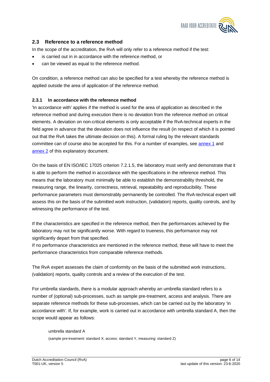

#### **2.3 Reference to a reference method**

In the scope of the accreditation, the RvA will only refer to a reference method if the test:

- is carried out in in accordance with the reference method, or
- can be viewed as equal to the reference method.

On condition, a reference method can also be specified for a test whereby the reference method is applied outside the area of application of the reference method.

#### **2.3.1 In accordance with the reference method**

'In accordance with' applies if the method is used for the area of application as described in the reference method and during execution there is no deviation from the reference method on critical elements. A deviation on non-critical elements is only acceptable if the RvA-technical experts in the field agree in advance that the deviation does not influence the result (in respect of which it is pointed out that the RvA takes the ultimate decision on this). A formal ruling by the relevant standards committee can of course also be accepted for this. For a number of examples, see annex 1 and annex 2 of this explanatory document.

On the basis of EN ISO/IEC 17025 criterion 7.2.1.5, the laboratory must verify and demonstrate that it is able to perform the method in accordance with the specifications in the reference method. This means that the laboratory must minimally be able to establish the demonstrability threshold, the measuring range, the linearity, correctness, retrieval, repeatability and reproducibility. These performance parameters must demonstrably permanently be controlled. The RvA-technical expert will assess this on the basis of the submitted work instruction, (validation) reports, quality controls, and by witnessing the performance of the test.

If the characteristics are specified in the reference method, then the performances achieved by the laboratory may not be significantly worse. With regard to trueness, this performance may not significantly depart from that specified.

If no performance characteristics are mentioned in the reference method, these will have to meet the performance characteristics from comparable reference methods.

The RvA expert assesses the claim of conformity on the basis of the submitted work instructions, (validation) reports, quality controls and a review of the execution of the test.

For umbrella standards, there is a modular approach whereby an umbrella standard refers to a number of (optional) sub-processes, such as sample pre-treatment, access and analysis. There are separate reference methods for these sub-processes, which can be carried out by the laboratory 'in accordance with'. If, for example, work is carried out in accordance with umbrella standard A, then the scope would appear as follows:

umbrella standard A (sample pre-treatment: standard X; access: standard Y, measuring: standard Z)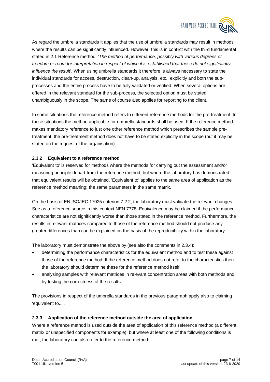

As regard the umbrella standards it applies that the use of umbrella standards may result in methods where the results can be significantly influenced. However, this is in conflict with the third fundamental stated in 2.1 Reference method: '*The method of performance, possibly with various degrees of freedom or room for interpretation in respect of which it is established that these do not significantly influence the result*'. When using umbrella standards it therefore is always necessary to state the individual standards for access, destruction, clean-up, analysis, etc., explicitly and both the subprocesses and the entire process have to be fully validated or verified. When several options are offered in the relevant standard for the sub-process, the selected option must be stated unambiguously in the scope. The same of course also applies for reporting to the client.

In some situations the reference method refers to different reference methods for the pre-treatment. In those situations the method applicable for umbrella standards shall be used. If the reference method makes mandatory reference to just one other reference method which prescribes the sample pretreatment, the pre-treatment method does not have to be stated explicitly in the scope (but it may be stated on the request of the organisation).

#### **2.3.2 Equivalent to a reference method**

'Equivalent to' is reserved for methods where the methods for carrying out the assessment and/or measuring principle depart from the reference method, but where the laboratory has demonstrated that equivalent results will be obtained. 'Equivalent to' applies to the same area of application as the reference method meaning: the same parameters in the same matrix.

On the basis of EN ISO/IEC 17025 criterion 7.2.2, the laboratory must validate the relevant changes. See as a reference source in this context NEN 7778, Equivalence may be claimed if the performance characteristics are not significantly worse than those stated in the reference method. Furthermore, the results in relevant matrices compared to those of the reference method should not produce any greater differences than can be explained on the basis of the reproducibility within the laboratory.

The laboratory must demonstrate the above by (see also the comments in 2.3.4):

- determining the performance characteristics for the equivalent method and to test these against those of the reference method. If the reference method does not refer to the characteristics then the laboratory should determine these for the reference method itself.
- analysing samples with relevant matrices in relevant concentration areas with both methods and by testing the correctness of the results.

The provisions in respect of the umbrella standards in the previous paragraph apply also to claiming 'equivalent to...'.

#### **2.3.3 Application of the reference method outside the area of application**

Where a reference method is used outside the area of application of this reference method (a different matrix or unspecified components for example), but where at least one of the following conditions is met, the laboratory can also refer to the reference method: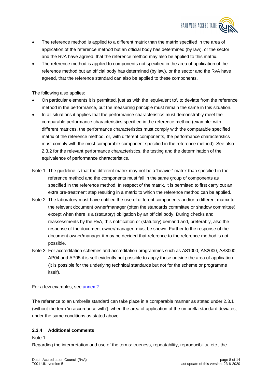

- The reference method is applied to a different matrix than the matrix specified in the area of application of the reference method but an official body has determined (by law), or the sector and the RvA have agreed, that the reference method may also be applied to this matrix.
- The reference method is applied to components not specified in the area of application of the reference method but an official body has determined (by law), or the sector and the RvA have agreed, that the reference standard can also be applied to these components.

The following also applies:

- On particular elements it is permitted, just as with the 'equivalent to', to deviate from the reference method in the performance, but the measuring principle must remain the same in this situation.
- In all situations it applies that the performance characteristics must demonstrably meet the comparable performance characteristics specified in the reference method (example: with different matrices, the performance characteristics must comply with the comparable specified matrix of the reference method, or, with different components, the performance characteristics must comply with the most comparable component specified in the reference method). See also 2.3.2 for the relevant performance characteristics, the testing and the determination of the equivalence of performance characteristics.
- Note 1 The guideline is that the different matrix may not be a 'heavier' matrix than specified in the reference method and the components must fall in the same group of components as specified in the reference method. In respect of the matrix, it is permitted to first carry out an extra pre-treatment step resulting in a matrix to which the reference method can be applied.
- Note 2 The laboratory must have notified the use of different components and/or a different matrix to the relevant document owner/manager (often the standards committee or shadow committee) except when there is a (statutory) obligation by an official body. During checks and reassessments by the RvA, this notification or (statutory) demand and, preferably, also the response of the document owner/manager, must be shown. Further to the response of the document owner/manager it may be decided that reference to the reference method is not possible.
- Note 3 For accreditation schemes and accreditation programmes such as AS1000, AS2000, AS3000, AP04 and AP05 it is self-evidently not possible to apply those outside the area of application (it is possible for the underlying technical standards but not for the scheme or programme itself).

For a few examples, see annex 2.

The reference to an umbrella standard can take place in a comparable manner as stated under 2.3.1 (without the term 'in accordance with'), when the area of application of the umbrella standard deviates, under the same conditions as stated above.

#### **2.3.4 Additional comments**

Note 1:

Regarding the interpretation and use of the terms: trueness, repeatability, reproducibility, etc., the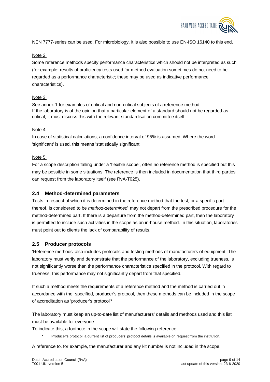

NEN 7777-series can be used. For microbiology, it is also possible to use EN-ISO 16140 to this end.

#### Note 2:

Some reference methods specify performance characteristics which should not be interpreted as such (for example: results of proficiency tests used for method evaluation sometimes do not need to be regarded as a performance characteristic; these may be used as indicative performance characteristics).

#### Note 3:

See annex 1 for examples of critical and non-critical subjects of a reference method. If the laboratory is of the opinion that a particular element of a standard should not be regarded as critical, it must discuss this with the relevant standardisation committee itself.

#### Note 4:

In case of statistical calculations, a confidence interval of 95% is assumed. Where the word 'significant' is used, this means 'statistically significant'.

### Note 5:

For a scope description falling under a 'flexible scope', often no reference method is specified but this may be possible in some situations. The reference is then included in documentation that third parties can request from the laboratory itself (see RvA-T025).

## **2.4 Method-determined parameters**

Tests in respect of which it is determined in the reference method that the test, or a specific part thereof, is considered to be *method-determined*, may not depart from the prescribed procedure for the method-determined part. If there is a departure from the method-determined part, then the laboratory is permitted to include such activities in the scope as an in-house method. In this situation, laboratories must point out to clients the lack of comparability of results.

## **2.5 Producer protocols**

'Reference methods' also includes protocols and testing methods of manufacturers of equipment. The laboratory must verify and demonstrate that the performance of the laboratory, excluding trueness, is not significantly worse than the performance characteristics specified in the protocol. With regard to trueness, this performance may not significantly depart from that specified.

If such a method meets the requirements of a reference method and the method is carried out in accordance with the, specified, producer's protocol, then these methods can be included in the scope of accreditation as 'producer's protocol'\*.

The laboratory must keep an up-to-date list of manufacturers' details and methods used and this list must be available for everyone.

To indicate this, a footnote in the scope will state the following reference:

Producer's protocol: a current list of producers' protocol details is available on request from the institution.

A reference to, for example, the manufacturer and any kit number is not included in the scope.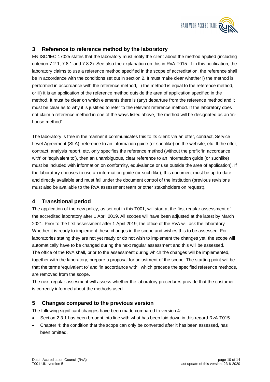

# **3 Reference to reference method by the laboratory**

EN ISO/IEC 17025 states that the laboratory must notify the client about the method applied (including criterion 7.2.1, 7.8.1 and 7.8.2). See also the explanation on this in RvA-T015. If in this notification, the laboratory claims to use a reference method specified in the scope of accreditation, the reference shall be in accordance with the conditions set out in section 2. It must make clear whether i) the method is performed in accordance with the reference method, ii) the method is equal to the reference method, or iii) it is an application of the reference method outside the area of application specified in the method. It must be clear on which elements there is (any) departure from the reference method and it must be clear as to why it is justified to refer to the relevant reference method. If the laboratory does not claim a reference method in one of the ways listed above, the method will be designated as an 'inhouse method'.

The laboratory is free in the manner it communicates this to its client: via an offer, contract, Service Level Agreement (SLA), reference to an information guide (or suchlike) on the website, etc. If the offer, contract, analysis report, etc. only specifies the reference method (without the prefix 'in accordance with' or 'equivalent to'), then an unambiguous, clear reference to an information guide (or suchlike) must be included with information on conformity, equivalence or use outside the area of application). If the laboratory chooses to use an information guide (or such like), this document must be up-to-date and directly available and must fall under the document control of the institution (previous revisions must also be available to the RvA assessment team or other stakeholders on request).

## **4 Transitional period**

The application of the new policy, as set out in this T001, will start at the first regular assessment of the accredited laboratory after 1 April 2019. All scopes will have been adjusted at the latest by March 2021. Prior to the first assessment after 1 April 2019, the office of the RvA will ask the laboratory Whether it is ready to implement these changes in the scope and wishes this to be assessed. For laboratories stating they are not yet ready or do not wish to implement the changes yet, the scope will automatically have to be changed during the next regular assessment and this will be assessed. The office of the RvA shall, prior to the assessment during which the changes will be implemented, together with the laboratory, prepare a proposal for adjustment of the scope. The starting point will be that the terms 'equivalent to' and 'in accordance with', which precede the specified reference methods, are removed from the scope.

The next regular assesment will assess whether the laboratory procedures provide that the customer is correctly informed about the methods used.

## **5 Changes compared to the previous version**

The following significant changes have been made compared to version 4:

- Section 2.3.1 has been brought into line with what has been laid down in this regard RvA-T015
- Chapter 4: the condition that the scope can only be converted after it has been assessed, has been omitted.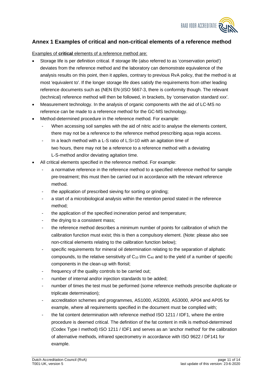

## **Annex 1 Examples of critical and non-critical elements of a reference method**

Examples of **critical** elements of a reference method are:

- Storage life is per definition critical. If storage life (also referred to as 'conservation period') deviates from the reference method and the laboratory can demonstrate equivalence of the analysis results on this point, then it applies, contrary to previous RvA policy, that the method is at most 'equivalent to'. If the longer storage life does satisfy the requirements from other leading reference documents such as (NEN EN-)ISO 5667-3, there is conformity though. The relevant (technical) reference method will then be followed, in brackets, by 'conservation standard xxx'.
- Measurement technology. In the analysis of organic components with the aid of LC-MS no reference can be made to a reference method for the GC-MS technology.
- Method-determined procedure in the reference method. For example:
	- When accessing soil samples with the aid of nitric acid to analyse the elements content, there may not be a reference to the reference method prescribing aqua regia access.
	- In a leach method with a L-S ratio of L:S=10 with an agitation time of two hours, there may not be a reference to a reference method with a deviating L-S-method and/or deviating agitation time.
- All critical elements specified in the reference method. For example:
	- a normative reference in the reference method to a specified reference method for sample pre-treatment; this must then be carried out in accordance with the relevant reference method.
	- the application of prescribed sieving for sorting or grinding;
	- a start of a microbiological analysis within the retention period stated in the reference method;
	- the application of the specified incineration period and temperature;
	- the drying to a consistent mass;
	- the reference method describes a minimum number of points for calibration of which the calibration function must exist; this is then a compulsory element. (Note: please also see non-critical elements relating to the calibration function below);
	- specific requirements for mineral oil determination relating to the separation of aliphatic compounds, to the relative sensitivity of  $C_{10}$  t/m  $C_{40}$  and to the yield of a number of specific components in the clean-up with florisil;
	- frequency of the quality controls to be carried out;
	- number of internal and/or injection standards to be added;
	- number of times the test must be performed (some reference methods prescribe duplicate or triplicate determination);
	- accreditation schemes and programmes, AS1000, AS2000, AS3000, AP04 and AP05 for example, where all requirements specified in the document must be complied with;
	- the fat content determination with reference method ISO 1211 / IDF1, where the entire procedure is deemed critical. The definition of the fat content in milk is method-determined (Codex Type I method) ISO 1211 / IDF1 and serves as an 'anchor method' for the calibration of alternative methods, infrared spectrometry in accordance with ISO 9622 / DF141 for example.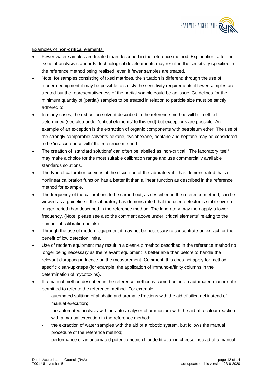

#### Examples of **non-critical** elements:

- Fewer water samples are treated than described in the reference method. Explanation: after the issue of analysis standards, technological developments may result in the sensitivity specified in the reference method being realised, even if fewer samples are treated.
- Note: for samples consisting of fixed matrices, the situation is different; through the use of modern equipment it may be possible to satisfy the sensitivity requirements if fewer samples are treated but the representativeness of the partial sample could be an issue. Guidelines for the minimum quantity of (partial) samples to be treated in relation to particle size must be strictly adhered to.
- In many cases, the extraction solvent described in the reference method will be methoddetermined (see also under 'critical elements' to this end) but exceptions are possible. An example of an exception is the extraction of organic components with petroleum ether. The use of the strongly comparable solvents hexane, cyclohexane, pentane and heptane may be considered to be 'in accordance with' the reference method.
- The creation of 'standard solutions' can often be labelled as 'non-critical': The laboratory itself may make a choice for the most suitable calibration range and use commercially available standards solutions.
- The type of calibration curve is at the discretion of the laboratory if it has demonstrated that a nonlinear calibration function has a better fit than a linear function as described in the reference method for example.
- The frequency of the calibrations to be carried out, as described in the reference method, can be viewed as a guideline if the laboratory has demonstrated that the used detector is stable over a longer period than described in the reference method. The laboratory may then apply a lower frequency. (Note: please see also the comment above under 'critical elements' relating to the number of calibration points).
- Through the use of modern equipment it may not be necessary to concentrate an extract for the benefit of low detection limits.
- Use of modern equipment may result in a clean-up method described in the reference method no longer being necessary as the relevant equipment is better able than before to handle the relevant disrupting influence on the measurement. Comment: this does not apply for methodspecific clean-up-steps (for example: the application of immuno-affinity columns in the determination of mycotoxins).
- If a manual method described in the reference method is carried out in an automated manner, it is permitted to refer to the reference method. For example:
	- automated splitting of aliphatic and aromatic fractions with the aid of silica gel instead of manual execution;
	- the automated analysis with an auto-analyser of ammonium with the aid of a colour reaction with a manual execution in the reference method;
	- the extraction of water samples with the aid of a robotic system, but follows the manual procedure of the reference method;
	- performance of an automated potentiometric chloride titration in cheese instead of a manual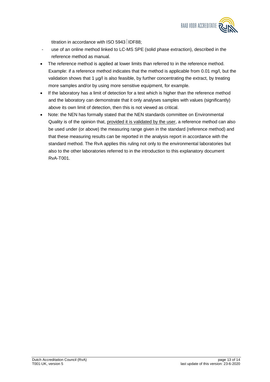

titration in accordance with ISO 5943 IDF88;

- use of an online method linked to LC-MS SPE (solid phase extraction), described in the reference method as manual.
- The reference method is applied at lower limits than referred to in the reference method. Example: if a reference method indicates that the method is applicable from 0.01 mg/l, but the validation shows that 1 µg/l is also feasible, by further concentrating the extract, by treating more samples and/or by using more sensitive equipment, for example.
- If the laboratory has a limit of detection for a test which is higher than the reference method and the laboratory can demonstrate that it only analyses samples with values (significantly) above its own limit of detection, then this is not viewed as critical.
- Note: the NEN has formally stated that the NEN standards committee on Environmental Quality is of the opinion that, provided it is validated by the user, a reference method can also be used under (or above) the measuring range given in the standard (reference method) and that these measuring results can be reported in the analysis report in accordance with the standard method. The RvA applies this ruling not only to the environmental laboratories but also to the other laboratories referred to in the introduction to this explanatory document RvA-T001.